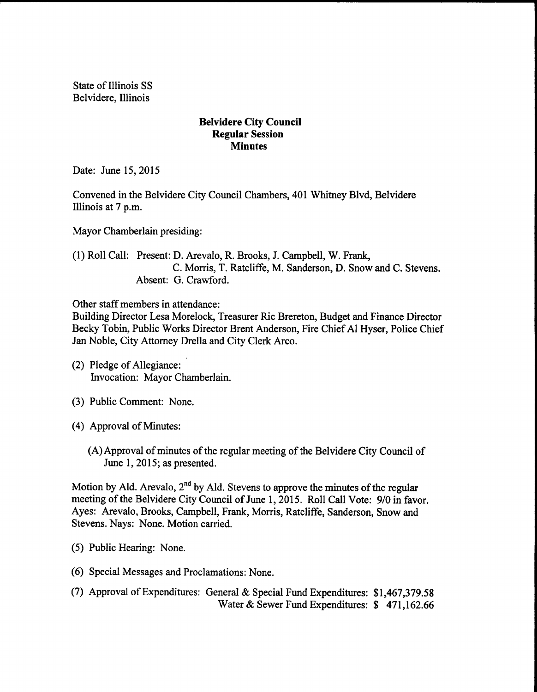State of Illinois SS Belvidere, Illinois

## Belvidere City Council Regular Session **Minutes**

Date: June 15, 2015

Convened in the Belvidere City Council Chambers, 401 Whitney Blvd, Belvidere Illinois at 7 p.m.

Mayor Chamberlain presiding:

1) Roll Call: Present: D. Arevalo, R. Brooks, J. Campbell, W. Frank, C. Morris, T. Ratcliffe, M. Sanderson, D. Snow and C. Stevens. Absent: G. Crawford.

Other staff members in attendance:

Building Director Lesa Morelock, Treasurer Ric Brereton, Budget and Finance Director Becky Tobin, Public Works Director Brent Anderson, Fire Chief Al Hyser, Police Chief Jan Noble, City Attorney Drella and City Clerk Arco.

- 2) Pledge of Allegiance: Invocation: Mayor Chamberlain.
- 3) Public Comment: None.
- 4) Approval of Minutes:
	- (A) Approval of minutes of the regular meeting of the Belvidere City Council of June 1, 2015; as presented.

Motion by Ald. Arevalo,  $2<sup>nd</sup>$  by Ald. Stevens to approve the minutes of the regular meeting of the Belvidere City Council of June 1, 2015. Roll Call Vote: 9/0 in favor. Ayes: Arevalo, Brooks, Campbell, Frank, Morris, Ratcliffe, Sanderson, Snow and Stevens. Nays: None. Motion carried.

- 5) Public Hearing: None.
- 6) Special Messages and Proclamations: None.
- 7) Approval ofExpenditures: General & Special Fund Expenditures: \$ 1, 467,379.58 Water & Sewer Fund Expenditures: \$471,162.66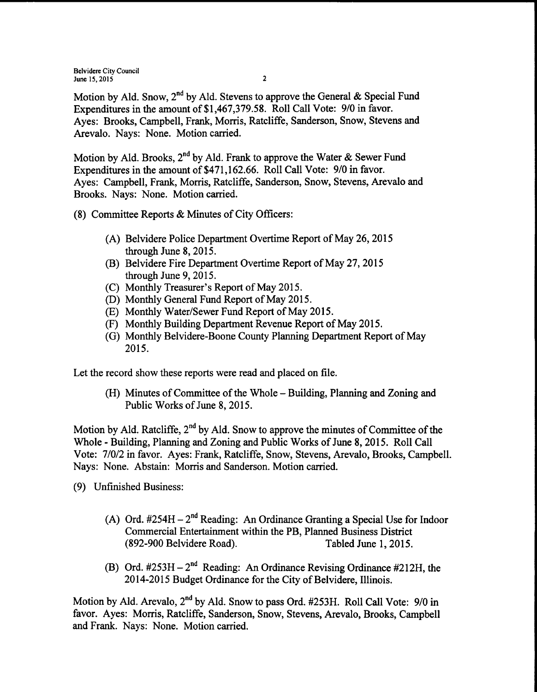Belvidere City Council June 15,  $2015$  2

Motion by Ald. Snow, 2<sup>nd</sup> by Ald. Stevens to approve the General & Special Fund Expenditures in the amount of \$1,467,379.58. Roll Call Vote: 9/0 in favor. Ayes: Brooks, Campbell, Frank, Morris, Ratcliffe, Sanderson, Snow, Stevens and Arevalo. Nays: None. Motion carried.

Motion by Ald. Brooks, 2<sup>nd</sup> by Ald. Frank to approve the Water & Sewer Fund Expenditures in the amount of \$471,162.66. Roll Call Vote: 9/0 in favor. Ayes: Campbell, Frank, Morris, Ratcliffe, Sanderson, Snow, Stevens, Arevalo and Brooks. Nays: None. Motion carried.

- 8) Committee Reports & Minutes of City Officers:
	- A) Belvidere Police Department Overtime Report of May 26, <sup>2015</sup> through June 8, 2015.
	- (B) Belvidere Fire Department Overtime Report of May 27, 2015 through June 9, 2015.
	- (C) Monthly Treasurer's Report of May 2015.
	- D) Monthly General Fund Report of May 2015.
	- E) Monthly Water/Sewer Fund Report of May 2015.
	- F) Monthly Building Department Revenue Report of May 2015.
	- G) Monthly Belvidere-Boone County Planning Department Report of May 2015.

Let the record show these reports were read and placed on file.

(H) Minutes of Committee of the Whole – Building, Planning and Zoning and Public Works of June 8, 2015.

Motion by Ald. Ratcliffe,  $2<sup>nd</sup>$  by Ald. Snow to approve the minutes of Committee of the Whole - Building, Planning and Zoning and Public Works of June 8, 2015. Roll Call Vote: 7/0/2 in favor. Ayes: Frank, Ratcliffe, Snow, Stevens, Arevalo, Brooks, Campbell. Nays: None. Abstain: Morris and Sanderson. Motion carried.

- 9) Unfinished Business:
	- A) Ord.  $\#254H 2^{nd}$  Reading: An Ordinance Granting a Special Use for Indoor Commercial Entertainment within the PB, Planned Business District 892-900 Belvidere Road). Tabled June 1, 2015.
	- B) Ord.  $\#253H 2^{nd}$  Reading: An Ordinance Revising Ordinance  $\#212H$ , the 2014-2015 Budget Ordinance for the City of Belvidere, Illinois.

Motion by Ald. Arevalo, 2<sup>nd</sup> by Ald. Snow to pass Ord. #253H. Roll Call Vote: 9/0 in favor. Ayes: Morris, Ratcliffe, Sanderson, Snow, Stevens, Arevalo, Brooks, Campbell and Frank. Nays: None. Motion carried.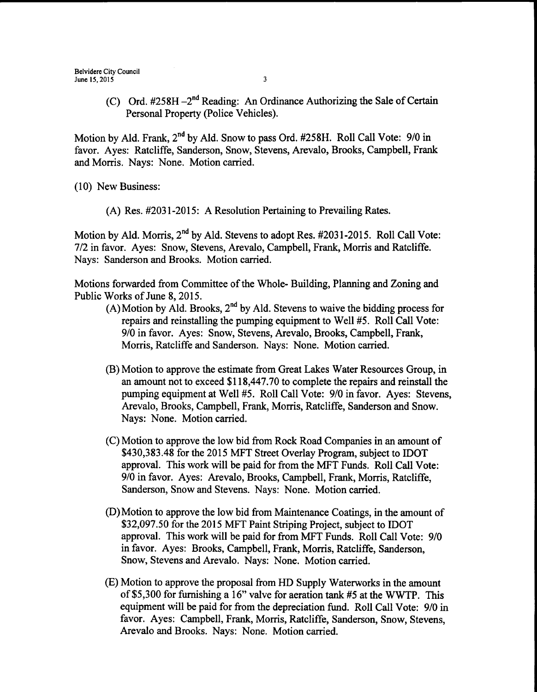(C) Ord.  $#258H - 2<sup>nd</sup> Reading: An Ordinance Authority the Sale of Certain$ Personal Property (Police Vehicles).

Motion by Ald. Frank, 2<sup>nd</sup> by Ald. Snow to pass Ord. #258H. Roll Call Vote: 9/0 in favor. Ayes: Ratcliffe, Sanderson, Snow, Stevens, Arevalo, Brooks, Campbell, Frank and Morris. Nays: None. Motion carried.

10) New Business:

(A) Res. #2031-2015: A Resolution Pertaining to Prevailing Rates.

Motion by Ald. Morris, 2<sup>nd</sup> by Ald. Stevens to adopt Res. #2031-2015. Roll Call Vote: 7/2 in favor. Ayes: Snow, Stevens, Arevalo, Campbell, Frank, Morris and Ratcliffe. Nays: Sanderson and Brooks. Motion carried.

Motions forwarded from Committee of the Whole- Building, Planning and Zoning and Public Works of June 8, 2015.

- A) Motion by Ald. Brooks,  $2<sup>nd</sup>$  by Ald. Stevens to waive the bidding process for repairs and reinstalling the pumping equipment to Well #5. Roll Call Vote: 9/0 in favor. Ayes: Snow, Stevens, Arevalo, Brooks, Campbell, Frank, Morris, Ratcliffe and Sanderson. Nays: None. Motion carried.
- B) Motion to approve the estimate from Great Lakes Water Resources Group, in an amount not to exceed \$118,447.70 to complete the repairs and reinstall the pumping equipment at Well #5. Roll Call Vote: 9/0 in favor. Ayes: Stevens, Arevalo, Brooks, Campbell, Frank, Morris, Ratcliffe, Sanderson and Snow. Nays: None. Motion carried.
- C) Motion to approve the low bid from Rock Road Companies in an amount of \$430,383.48 for the 2015 MFT Street Overlay Program, subject to IDOT approval. This work will be paid for from the MFT Funds. Roll Call Vote: 9/0 in favor. Ayes: Arevalo, Brooks, Campbell, Frank, Morris, Ratcliffe, Sanderson, Snow and Stevens. Nays: None. Motion carried.
- D) Motion to approve the low bid from Maintenance Coatings, in the amount of 32,097.50 for the 2015 MFT Paint Striping Project, subject to IDOT approval. This work will be paid for from MFT Funds. Roll Call Vote: 9/0 in favor. Ayes: Brooks, Campbell, Frank, Morris, Ratcliffe, Sanderson, Snow, Stevens and Arevalo. Nays: None. Motion carried.
- E) Motion to approve the proposal from HD Supply Waterworks in the amount of \$5,300 for furnishing a 16" valve for aeration tank #5 at the WWTP. This equipment will be paid for from the depreciation fund. Roll Call Vote: 9/0 in favor. Ayes: Campbell, Frank, Morris, Ratcliffe, Sanderson, Snow, Stevens, Arevalo and Brooks. Nays: None. Motion carried.